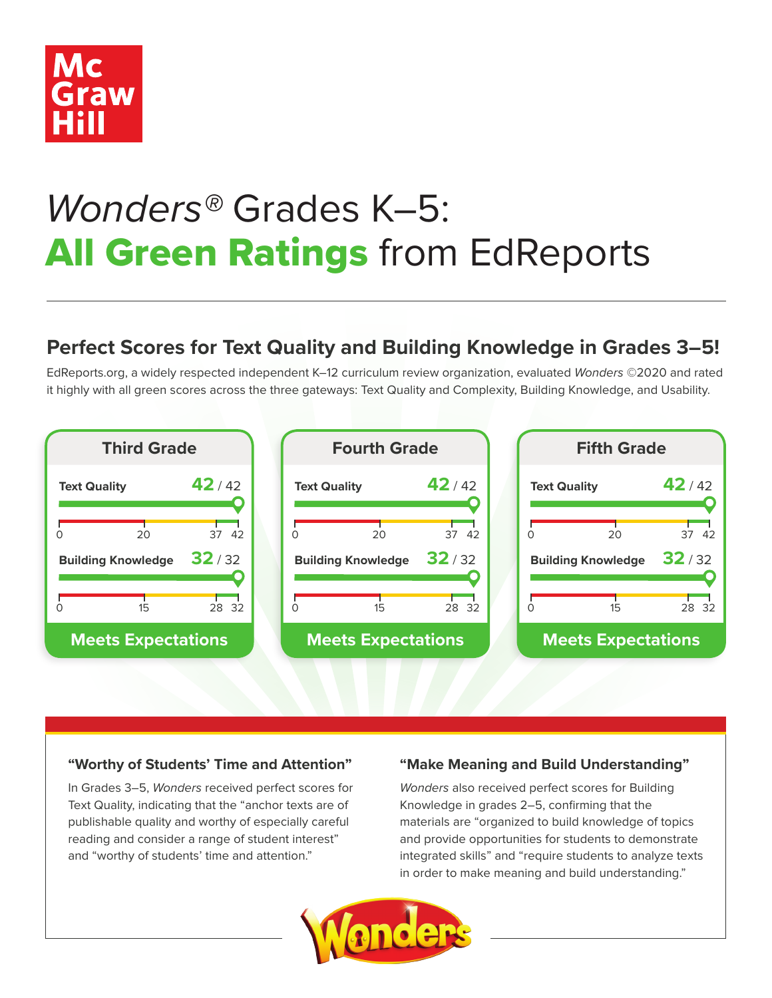

# *Wonders®* Grades K–5: **All Green Ratings** from EdReports

### **Perfect Scores for Text Quality and Building Knowledge in Grades 3–5!**

EdReports.org, a widely respected independent K–12 curriculum review organization, evaluated *Wonders* ©2020 and rated it highly with all green scores across the three gateways: Text Quality and Complexity, Building Knowledge, and Usability.



#### **"Worthy of Students' Time and Attention"**

In Grades 3–5, *Wonders* received perfect scores for Text Quality, indicating that the "anchor texts are of publishable quality and worthy of especially careful reading and consider a range of student interest" and "worthy of students' time and attention."

#### **"Make Meaning and Build Understanding"**

*Wonders* also received perfect scores for Building Knowledge in grades 2–5, confirming that the materials are "organized to build knowledge of topics and provide opportunities for students to demonstrate integrated skills" and "require students to analyze texts in order to make meaning and build understanding."